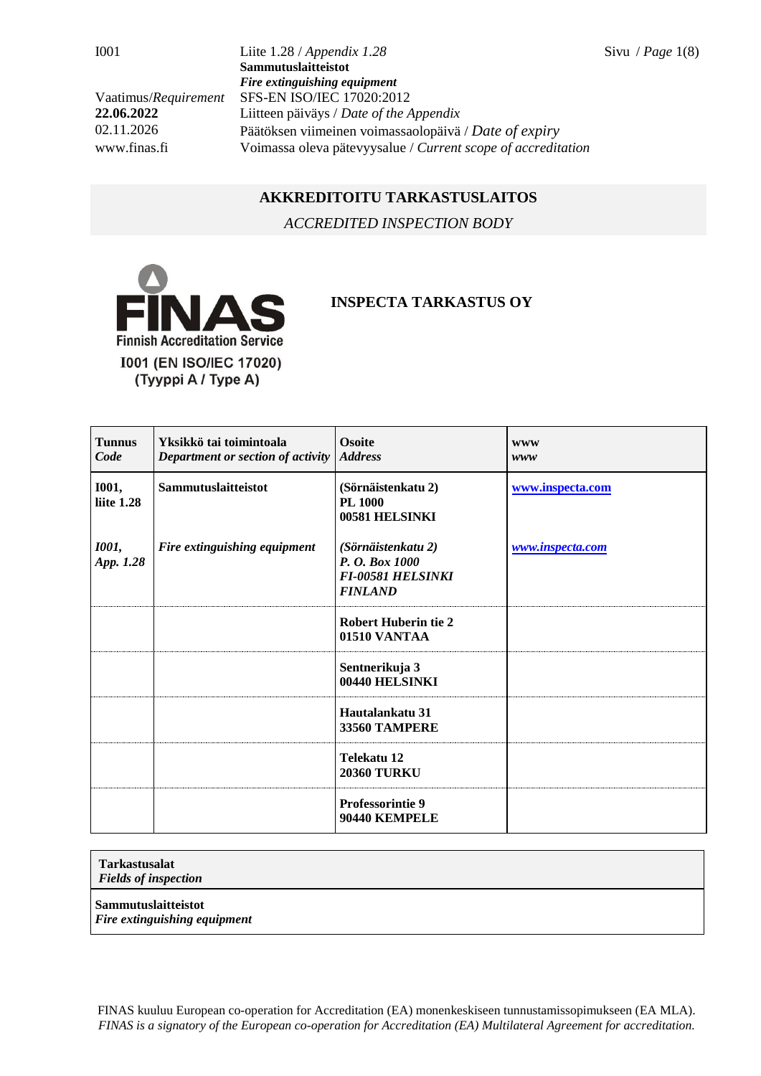I001 Liite 1.28 / *Appendix 1.28* Sivu / *Page* 1(8) **Sammutuslaitteistot** *Fire extinguishing equipment* Vaatimus/*Requirement* SFS-EN ISO/IEC 17020:2012 **22.06.2022** Liitteen päiväys / *Date of the Appendix* 02.11.2026 Päätöksen viimeinen voimassaolopäivä / *Date of expiry* www.finas.fi Voimassa oleva pätevyysalue / *Current scope of accreditation*

## **AKKREDITOITU TARKASTUSLAITOS**

*ACCREDITED INSPECTION BODY*



## **INSPECTA TARKASTUS OY**

| <b>Tunnus</b><br>Code             | Yksikkö tai toimintoala<br>Department or section of activity | <b>Osoite</b><br><b>Address</b>                                                    | <b>WWW</b><br>www |
|-----------------------------------|--------------------------------------------------------------|------------------------------------------------------------------------------------|-------------------|
| <b>I001,</b><br>liite 1.28        | Sammutuslaitteistot                                          | (Sörnäistenkatu 2)<br><b>PL 1000</b><br>00581 HELSINKI                             | www.inspecta.com  |
| <i><b>I001</b></i> ,<br>App. 1.28 | Fire extinguishing equipment                                 | (Sörnäistenkatu 2)<br>P. O. Box 1000<br><b>FI-00581 HELSINKI</b><br><b>FINLAND</b> | www.inspecta.com  |
|                                   |                                                              | <b>Robert Huberin tie 2</b><br>01510 VANTAA                                        |                   |
|                                   |                                                              | Sentnerikuja 3<br>00440 HELSINKI                                                   |                   |
|                                   |                                                              | Hautalankatu 31<br><b>33560 TAMPERE</b>                                            |                   |
|                                   |                                                              | Telekatu 12<br><b>20360 TURKU</b>                                                  |                   |
|                                   |                                                              | <b>Professorintie 9</b><br>90440 KEMPELE                                           |                   |

## **Tarkastusalat**

*Fields of inspection*

**Sammutuslaitteistot**

*Fire extinguishing equipment*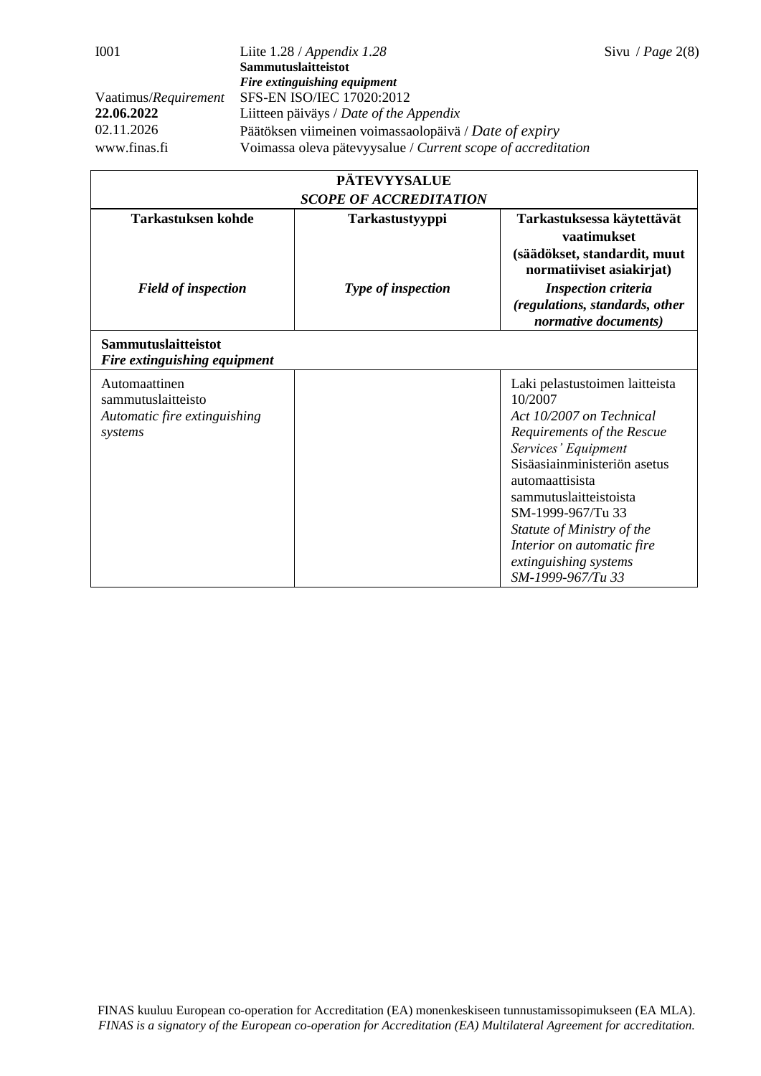| <b>PÄTEVYYSALUE</b>                                                            |                    |                                                                                                                                                                                                                                                                                                                                        |  |  |
|--------------------------------------------------------------------------------|--------------------|----------------------------------------------------------------------------------------------------------------------------------------------------------------------------------------------------------------------------------------------------------------------------------------------------------------------------------------|--|--|
| <b>SCOPE OF ACCREDITATION</b>                                                  |                    |                                                                                                                                                                                                                                                                                                                                        |  |  |
| <b>Tarkastuksen kohde</b>                                                      | Tarkastustyyppi    | Tarkastuksessa käytettävät<br>vaatimukset<br>(säädökset, standardit, muut                                                                                                                                                                                                                                                              |  |  |
|                                                                                |                    | normatiiviset asiakirjat)                                                                                                                                                                                                                                                                                                              |  |  |
| <b>Field of inspection</b>                                                     | Type of inspection | <b>Inspection criteria</b><br>(regulations, standards, other<br>normative documents)                                                                                                                                                                                                                                                   |  |  |
| Sammutuslaitteistot<br>Fire extinguishing equipment                            |                    |                                                                                                                                                                                                                                                                                                                                        |  |  |
| Automaattinen<br>sammutuslaitteisto<br>Automatic fire extinguishing<br>systems |                    | Laki pelastustoimen laitteista<br>10/2007<br>Act 10/2007 on Technical<br>Requirements of the Rescue<br>Services' Equipment<br>Sisäasiainministeriön asetus<br>automaattisista<br>sammutuslaitteistoista<br>SM-1999-967/Tu 33<br>Statute of Ministry of the<br>Interior on automatic fire<br>extinguishing systems<br>SM-1999-967/Tu 33 |  |  |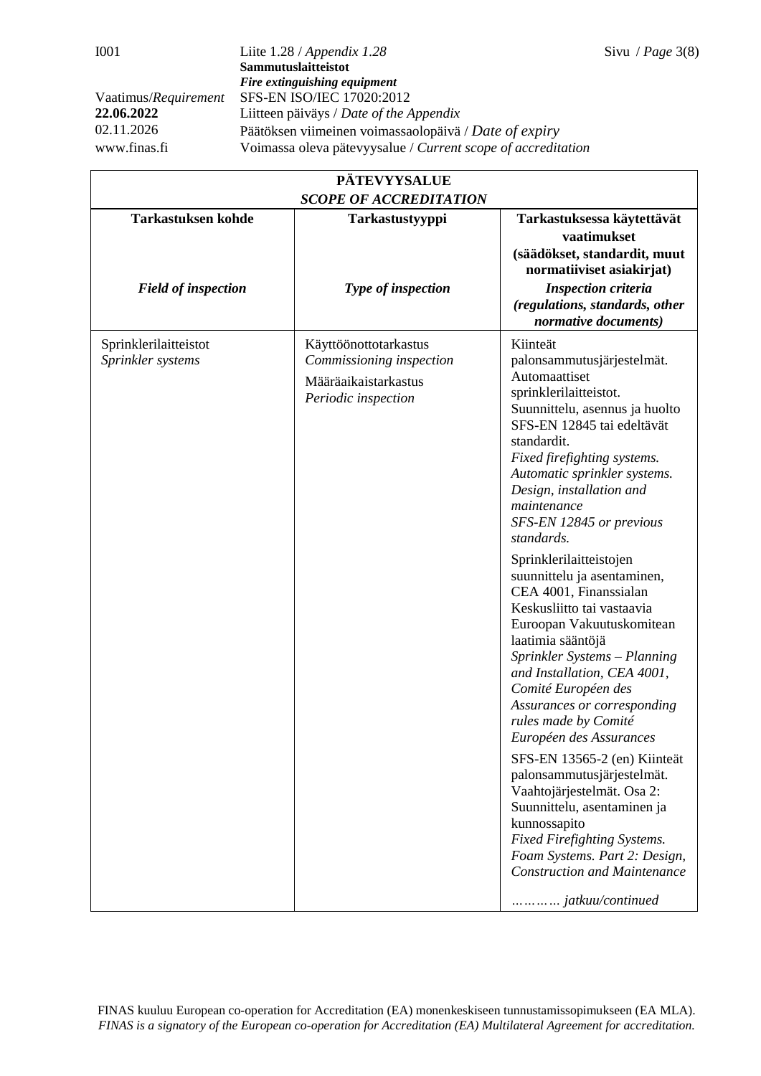| <b>PÄTEVYYSALUE</b>                        |                                                                                                  |                                                                                                                                                                                                                                                                                                                                                                                                                                                                                                                                                                                                                                                                                                                                                                                                                                                                                                                           |  |
|--------------------------------------------|--------------------------------------------------------------------------------------------------|---------------------------------------------------------------------------------------------------------------------------------------------------------------------------------------------------------------------------------------------------------------------------------------------------------------------------------------------------------------------------------------------------------------------------------------------------------------------------------------------------------------------------------------------------------------------------------------------------------------------------------------------------------------------------------------------------------------------------------------------------------------------------------------------------------------------------------------------------------------------------------------------------------------------------|--|
| <b>Tarkastuksen kohde</b>                  | <b>SCOPE OF ACCREDITATION</b><br>Tarkastustyyppi                                                 | Tarkastuksessa käytettävät<br>vaatimukset<br>(säädökset, standardit, muut                                                                                                                                                                                                                                                                                                                                                                                                                                                                                                                                                                                                                                                                                                                                                                                                                                                 |  |
| <b>Field of inspection</b>                 | Type of inspection                                                                               | normatiiviset asiakirjat)<br><b>Inspection criteria</b><br>(regulations, standards, other<br>normative documents)                                                                                                                                                                                                                                                                                                                                                                                                                                                                                                                                                                                                                                                                                                                                                                                                         |  |
| Sprinklerilaitteistot<br>Sprinkler systems | Käyttöönottotarkastus<br>Commissioning inspection<br>Määräaikaistarkastus<br>Periodic inspection | Kiinteät<br>palonsammutusjärjestelmät.<br>Automaattiset<br>sprinklerilaitteistot.<br>Suunnittelu, asennus ja huolto<br>SFS-EN 12845 tai edeltävät<br>standardit.<br>Fixed firefighting systems.<br>Automatic sprinkler systems.<br>Design, installation and<br>maintenance<br>SFS-EN 12845 or previous<br>standards.<br>Sprinklerilaitteistojen<br>suunnittelu ja asentaminen,<br>CEA 4001, Finanssialan<br>Keskusliitto tai vastaavia<br>Euroopan Vakuutuskomitean<br>laatimia sääntöjä<br>Sprinkler Systems - Planning<br>and Installation, CEA 4001,<br>Comité Européen des<br>Assurances or corresponding<br>rules made by Comité<br>Européen des Assurances<br>SFS-EN 13565-2 (en) Kiinteät<br>palonsammutusjärjestelmät.<br>Vaahtojärjestelmät. Osa 2:<br>Suunnittelu, asentaminen ja<br>kunnossapito<br><b>Fixed Firefighting Systems.</b><br>Foam Systems. Part 2: Design,<br><b>Construction and Maintenance</b> |  |
|                                            |                                                                                                  | jatkuu/continued                                                                                                                                                                                                                                                                                                                                                                                                                                                                                                                                                                                                                                                                                                                                                                                                                                                                                                          |  |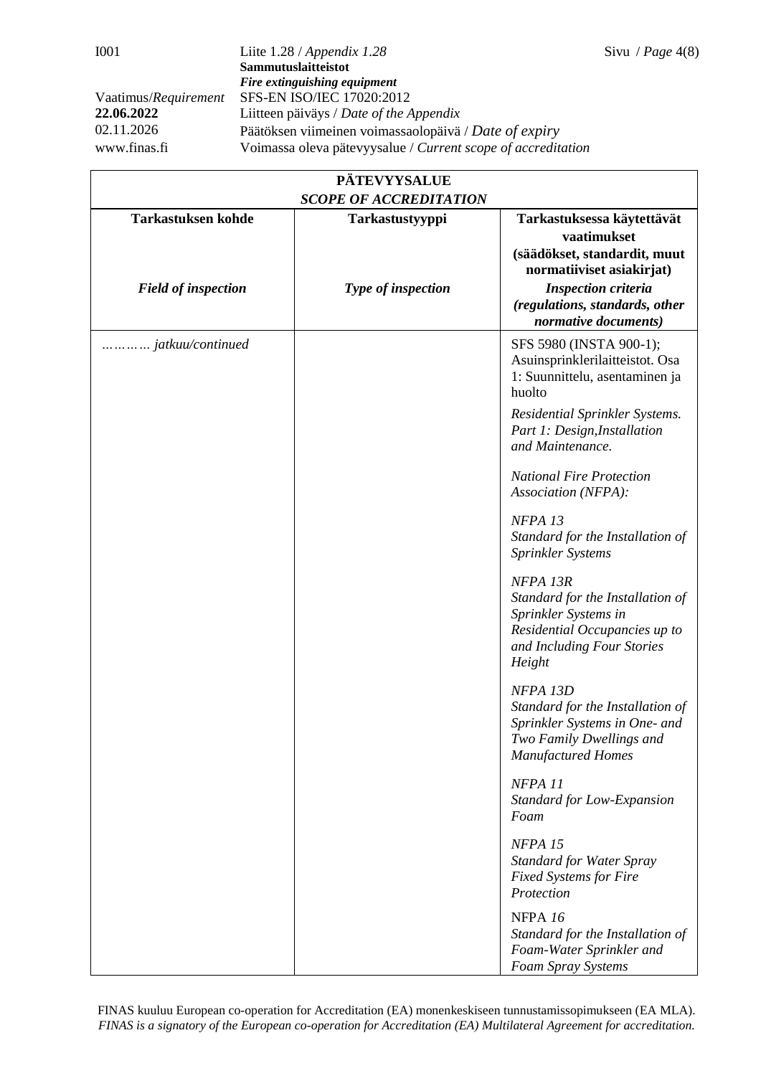| <b>PÄTEVYYSALUE</b><br><b>SCOPE OF ACCREDITATION</b> |                    |                                                                                                                                               |  |
|------------------------------------------------------|--------------------|-----------------------------------------------------------------------------------------------------------------------------------------------|--|
| <b>Tarkastuksen kohde</b>                            | Tarkastustyyppi    | Tarkastuksessa käytettävät<br>vaatimukset                                                                                                     |  |
|                                                      |                    | (säädökset, standardit, muut<br>normatiiviset asiakirjat)                                                                                     |  |
| <b>Field of inspection</b>                           | Type of inspection | <b>Inspection criteria</b><br>(regulations, standards, other<br>normative documents)                                                          |  |
| jatkuu/continued                                     |                    | SFS 5980 (INSTA 900-1);<br>Asuinsprinklerilaitteistot. Osa<br>1: Suunnittelu, asentaminen ja<br>huolto                                        |  |
|                                                      |                    | Residential Sprinkler Systems.<br>Part 1: Design, Installation<br>and Maintenance.                                                            |  |
|                                                      |                    | <b>National Fire Protection</b><br>Association (NFPA):                                                                                        |  |
|                                                      |                    | NFPA <sub>13</sub><br>Standard for the Installation of<br>Sprinkler Systems                                                                   |  |
|                                                      |                    | NFPA 13R<br>Standard for the Installation of<br>Sprinkler Systems in<br>Residential Occupancies up to<br>and Including Four Stories<br>Height |  |
|                                                      |                    | NFPA 13D<br>Standard for the Installation of<br>Sprinkler Systems in One- and<br>Two Family Dwellings and<br><b>Manufactured Homes</b>        |  |
|                                                      |                    | NFPA <sub>11</sub><br>Standard for Low-Expansion<br>Foam                                                                                      |  |
|                                                      |                    | NFPA <sub>15</sub><br><b>Standard for Water Spray</b><br><b>Fixed Systems for Fire</b><br>Protection                                          |  |
|                                                      |                    | NFPA 16<br>Standard for the Installation of<br>Foam-Water Sprinkler and<br>Foam Spray Systems                                                 |  |

FINAS kuuluu European co-operation for Accreditation (EA) monenkeskiseen tunnustamissopimukseen (EA MLA). *FINAS is a signatory of the European co-operation for Accreditation (EA) Multilateral Agreement for accreditation.*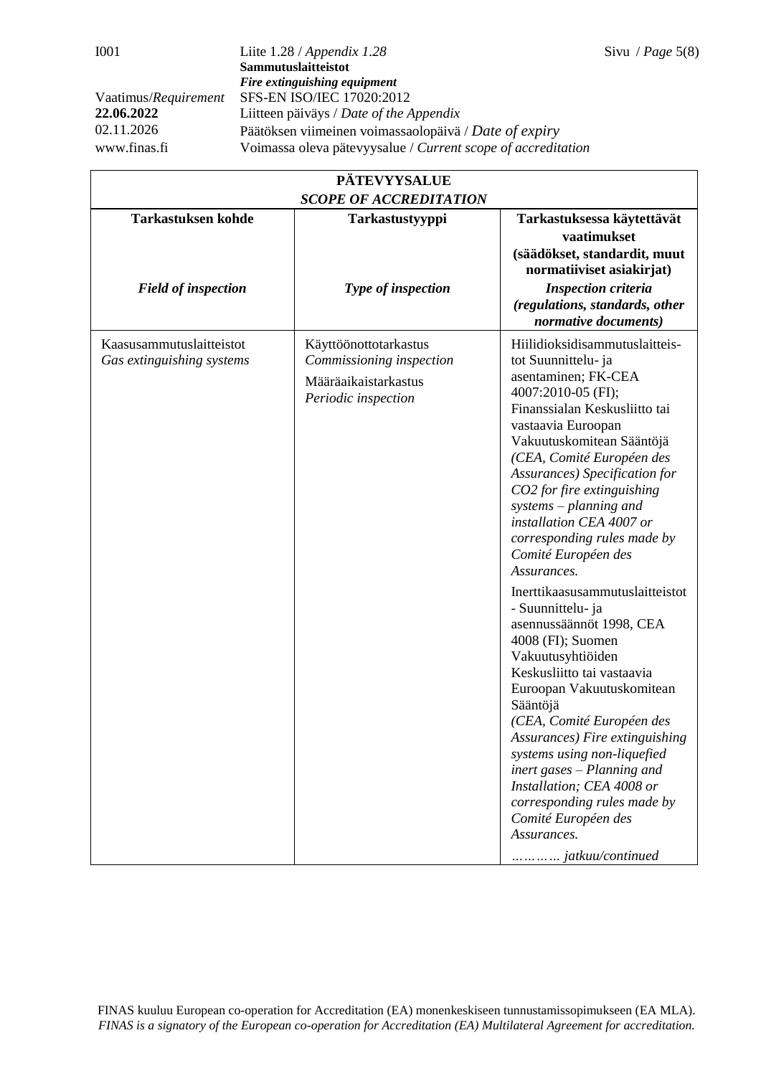| <b>PÄTEVYYSALUE</b><br><b>SCOPE OF ACCREDITATION</b>  |                                                                                                  |                                                                                                                                                                                                                                                                                                                                                                                                                                                                                                                                                                                                                                                                                                                                                                                                                                                                                |  |
|-------------------------------------------------------|--------------------------------------------------------------------------------------------------|--------------------------------------------------------------------------------------------------------------------------------------------------------------------------------------------------------------------------------------------------------------------------------------------------------------------------------------------------------------------------------------------------------------------------------------------------------------------------------------------------------------------------------------------------------------------------------------------------------------------------------------------------------------------------------------------------------------------------------------------------------------------------------------------------------------------------------------------------------------------------------|--|
| <b>Tarkastuksen kohde</b>                             | Tarkastustyyppi                                                                                  | Tarkastuksessa käytettävät<br>vaatimukset<br>(säädökset, standardit, muut                                                                                                                                                                                                                                                                                                                                                                                                                                                                                                                                                                                                                                                                                                                                                                                                      |  |
| <b>Field of inspection</b>                            | Type of inspection                                                                               | normatiiviset asiakirjat)<br><b>Inspection criteria</b><br>(regulations, standards, other<br>normative documents)                                                                                                                                                                                                                                                                                                                                                                                                                                                                                                                                                                                                                                                                                                                                                              |  |
| Kaasusammutuslaitteistot<br>Gas extinguishing systems | Käyttöönottotarkastus<br>Commissioning inspection<br>Määräaikaistarkastus<br>Periodic inspection | Hiilidioksidisammutuslaitteis-<br>tot Suunnittelu- ja<br>asentaminen; FK-CEA<br>4007:2010-05 (FI);<br>Finanssialan Keskusliitto tai<br>vastaavia Euroopan<br>Vakuutuskomitean Sääntöjä<br>(CEA, Comité Européen des<br><b>Assurances</b> ) Specification for<br>CO2 for fire extinguishing<br>$systems$ – planning and<br>installation CEA 4007 or<br>corresponding rules made by<br>Comité Européen des<br>Assurances.<br>Inerttikaasusammutuslaitteistot<br>- Suunnittelu- ja<br>asennussäännöt 1998, CEA<br>4008 (FI); Suomen<br>Vakuutusyhtiöiden<br>Keskusliitto tai vastaavia<br>Euroopan Vakuutuskomitean<br>Sääntöjä<br>(CEA, Comité Européen des<br>Assurances) Fire extinguishing<br>systems using non-liquefied<br>inert gases – Planning and<br>Installation; CEA 4008 or<br>corresponding rules made by<br>Comité Européen des<br>Assurances.<br>jatkuu/continued |  |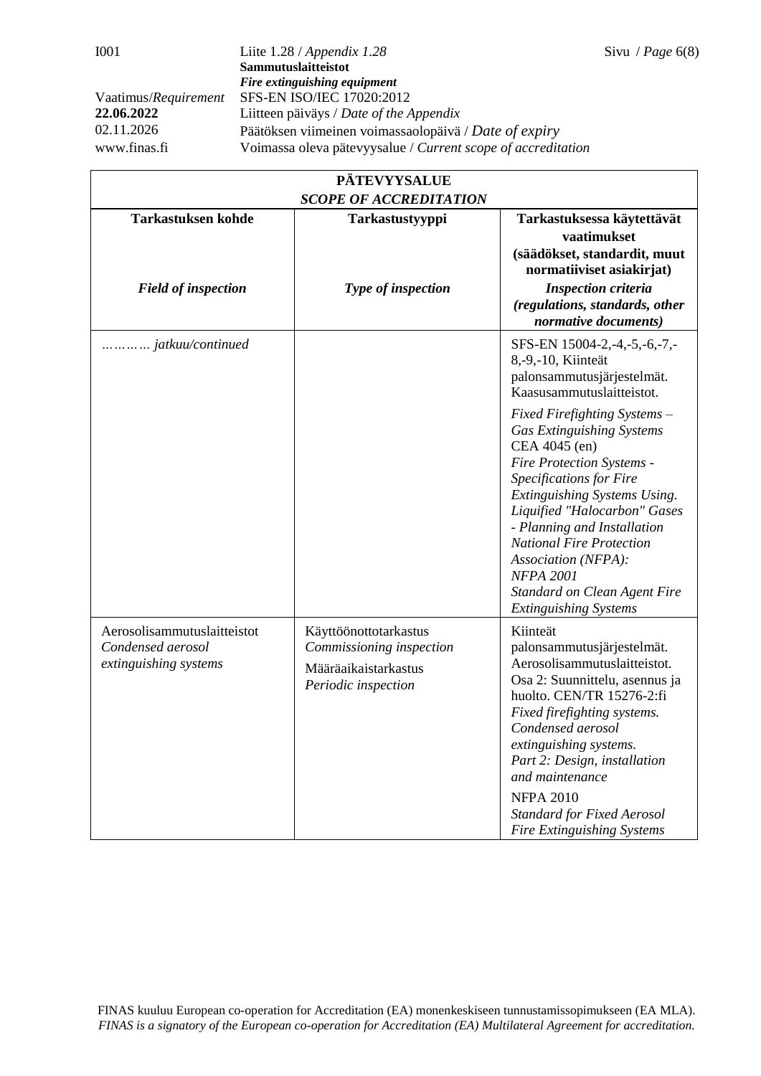| <b>PÄTEVYYSALUE</b>                                                       |                                                                                                  |                                                                                                                                                                                                                                                                                                                                                                                        |  |
|---------------------------------------------------------------------------|--------------------------------------------------------------------------------------------------|----------------------------------------------------------------------------------------------------------------------------------------------------------------------------------------------------------------------------------------------------------------------------------------------------------------------------------------------------------------------------------------|--|
| <b>SCOPE OF ACCREDITATION</b>                                             |                                                                                                  |                                                                                                                                                                                                                                                                                                                                                                                        |  |
| <b>Tarkastuksen kohde</b><br><b>Field of inspection</b>                   | Tarkastustyyppi<br>Type of inspection                                                            | Tarkastuksessa käytettävät<br>vaatimukset<br>(säädökset, standardit, muut<br>normatiiviset asiakirjat)<br><b>Inspection criteria</b><br>(regulations, standards, other<br>normative documents)                                                                                                                                                                                         |  |
| jatkuu/continued                                                          |                                                                                                  | SFS-EN 15004-2,-4,-5,-6,-7,-<br>8,-9,-10, Kiinteät<br>palonsammutusjärjestelmät.<br>Kaasusammutuslaitteistot.                                                                                                                                                                                                                                                                          |  |
|                                                                           |                                                                                                  | Fixed Firefighting Systems -<br><b>Gas Extinguishing Systems</b><br>CEA 4045 (en)<br>Fire Protection Systems -<br>Specifications for Fire<br>Extinguishing Systems Using.<br>Liquified "Halocarbon" Gases<br>- Planning and Installation<br><b>National Fire Protection</b><br>Association (NFPA):<br><b>NFPA 2001</b><br>Standard on Clean Agent Fire<br><b>Extinguishing Systems</b> |  |
| Aerosolisammutuslaitteistot<br>Condensed aerosol<br>extinguishing systems | Käyttöönottotarkastus<br>Commissioning inspection<br>Määräaikaistarkastus<br>Periodic inspection | Kiinteät<br>palonsammutusjärjestelmät.<br>Aerosolisammutuslaitteistot.<br>Osa 2: Suunnittelu, asennus ja<br>huolto. CEN/TR 15276-2:fi<br>Fixed firefighting systems.<br>Condensed aerosol<br>extinguishing systems.<br>Part 2: Design, installation<br>and maintenance<br><b>NFPA 2010</b><br><b>Standard for Fixed Aerosol</b><br><b>Fire Extinguishing Systems</b>                   |  |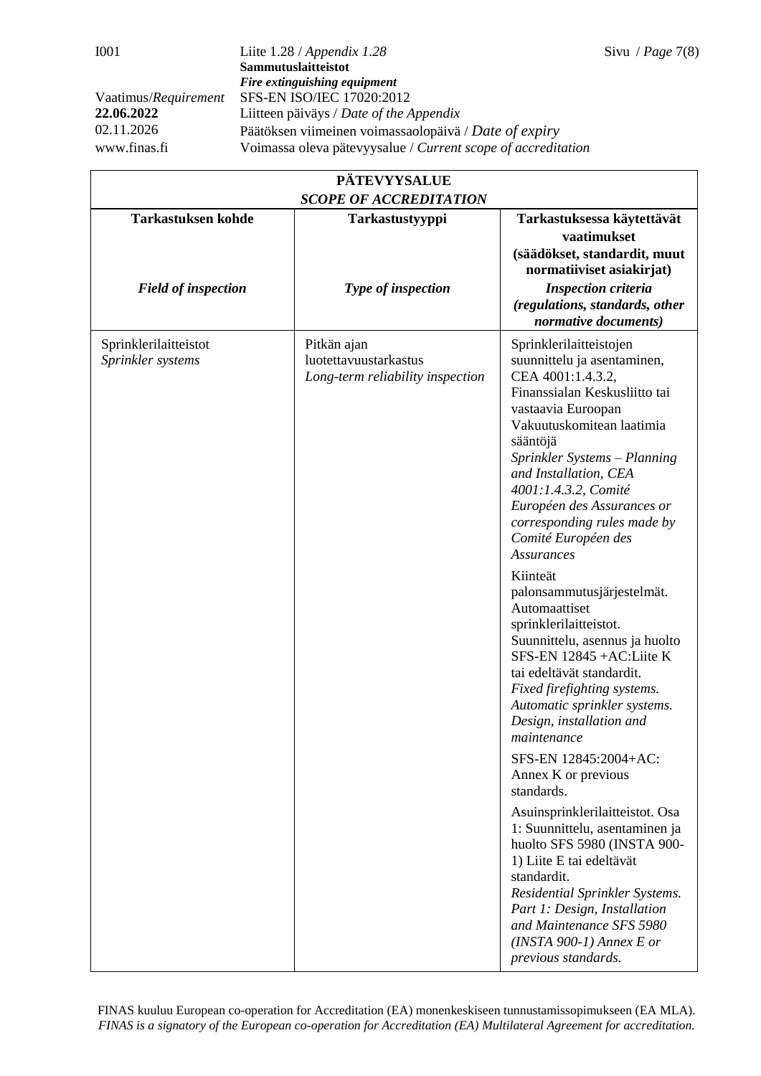| <b>PÄTEVYYSALUE</b>                        |                                                                          |                                                                                                                                                                                                                                                                                                                                                                                                                 |  |
|--------------------------------------------|--------------------------------------------------------------------------|-----------------------------------------------------------------------------------------------------------------------------------------------------------------------------------------------------------------------------------------------------------------------------------------------------------------------------------------------------------------------------------------------------------------|--|
| <b>SCOPE OF ACCREDITATION</b>              |                                                                          |                                                                                                                                                                                                                                                                                                                                                                                                                 |  |
| <b>Tarkastuksen kohde</b>                  | Tarkastustyyppi                                                          | Tarkastuksessa käytettävät<br>vaatimukset<br>(säädökset, standardit, muut<br>normatiiviset asiakirjat)                                                                                                                                                                                                                                                                                                          |  |
| <b>Field of inspection</b>                 | Type of inspection                                                       | <b>Inspection criteria</b><br>(regulations, standards, other<br>normative documents)                                                                                                                                                                                                                                                                                                                            |  |
| Sprinklerilaitteistot<br>Sprinkler systems | Pitkän ajan<br>luotettavuustarkastus<br>Long-term reliability inspection | Sprinklerilaitteistojen<br>suunnittelu ja asentaminen,<br>CEA 4001:1.4.3.2,<br>Finanssialan Keskusliitto tai<br>vastaavia Euroopan<br>Vakuutuskomitean laatimia<br>sääntöjä<br>Sprinkler Systems - Planning<br>and Installation, CEA<br>4001:1.4.3.2, Comité<br>Européen des Assurances or<br>corresponding rules made by<br>Comité Européen des<br><b>Assurances</b><br>Kiinteät<br>palonsammutusjärjestelmät. |  |
|                                            |                                                                          | Automaattiset<br>sprinklerilaitteistot.<br>Suunnittelu, asennus ja huolto<br>SFS-EN 12845 +AC:Liite K<br>tai edeltävät standardit.<br>Fixed firefighting systems.<br>Automatic sprinkler systems.<br>Design, installation and<br>maintenance                                                                                                                                                                    |  |
|                                            |                                                                          | SFS-EN 12845:2004+AC:<br>Annex K or previous<br>standards.                                                                                                                                                                                                                                                                                                                                                      |  |
|                                            |                                                                          | Asuinsprinklerilaitteistot. Osa<br>1: Suunnittelu, asentaminen ja<br>huolto SFS 5980 (INSTA 900-<br>1) Liite E tai edeltävät<br>standardit.<br>Residential Sprinkler Systems.<br>Part 1: Design, Installation<br>and Maintenance SFS 5980<br>$(INSTA 900-1)$ Annex E or<br>previous standards.                                                                                                                  |  |

FINAS kuuluu European co-operation for Accreditation (EA) monenkeskiseen tunnustamissopimukseen (EA MLA). *FINAS is a signatory of the European co-operation for Accreditation (EA) Multilateral Agreement for accreditation.*